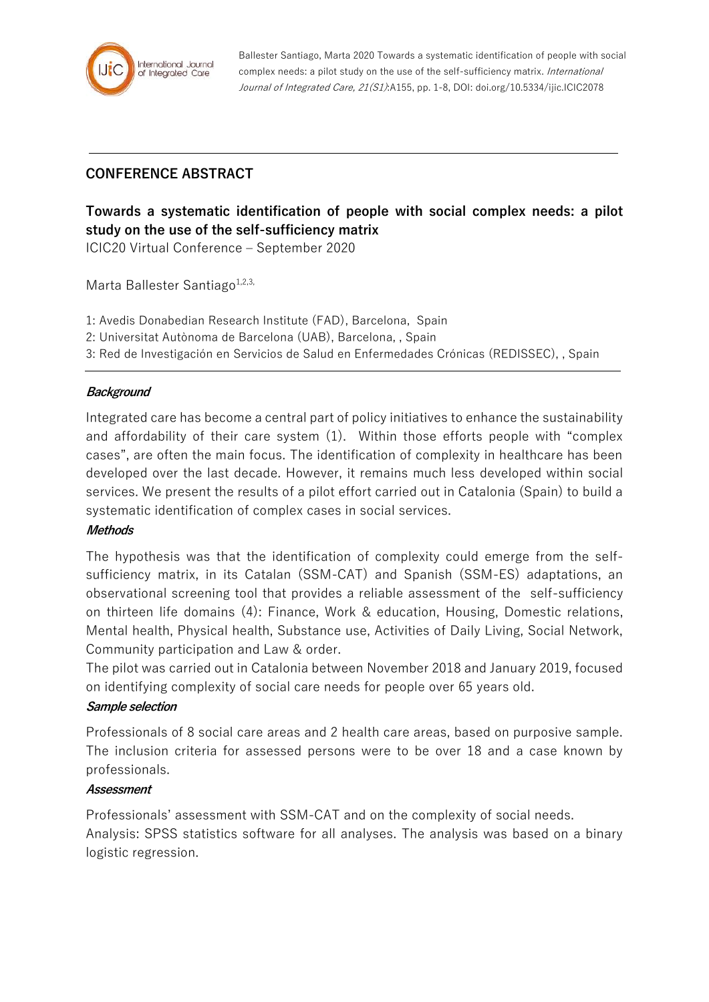

Ballester Santiago, Marta 2020 Towards a systematic identification of people with social complex needs: a pilot study on the use of the self-sufficiency matrix. International Journal of Integrated Care, 21(S1):A155, pp. 1-8, DOI: doi.org/10.5334/ijic.ICIC2078

# **CONFERENCE ABSTRACT**

# **Towards a systematic identification of people with social complex needs: a pilot study on the use of the self-sufficiency matrix**

ICIC20 Virtual Conference – September 2020

Marta Ballester Santiago $1,2,3$ ,

- 1: Avedis Donabedian Research Institute (FAD), Barcelona, Spain
- 2: Universitat Autònoma de Barcelona (UAB), Barcelona, , Spain
- 3: Red de Investigación en Servicios de Salud en Enfermedades Crónicas (REDISSEC), , Spain

#### **Background**

Integrated care has become a central part of policy initiatives to enhance the sustainability and affordability of their care system (1). Within those efforts people with "complex cases", are often the main focus. The identification of complexity in healthcare has been developed over the last decade. However, it remains much less developed within social services. We present the results of a pilot effort carried out in Catalonia (Spain) to build a systematic identification of complex cases in social services.

#### **Methods**

The hypothesis was that the identification of complexity could emerge from the selfsufficiency matrix, in its Catalan (SSM-CAT) and Spanish (SSM-ES) adaptations, an observational screening tool that provides a reliable assessment of the self-sufficiency on thirteen life domains (4): Finance, Work & education, Housing, Domestic relations, Mental health, Physical health, Substance use, Activities of Daily Living, Social Network, Community participation and Law & order.

The pilot was carried out in Catalonia between November 2018 and January 2019, focused on identifying complexity of social care needs for people over 65 years old.

#### **Sample selection**

Professionals of 8 social care areas and 2 health care areas, based on purposive sample. The inclusion criteria for assessed persons were to be over 18 and a case known by professionals.

#### **Assessment**

Professionals' assessment with SSM-CAT and on the complexity of social needs.

Analysis: SPSS statistics software for all analyses. The analysis was based on a binary logistic regression.